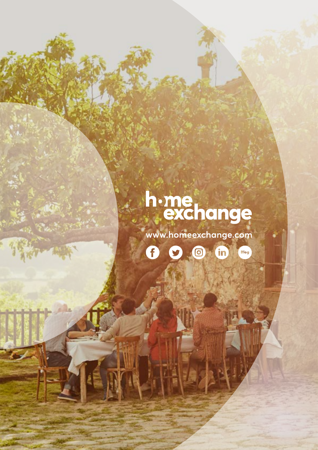# h.me<br>exchange

www.homeexchange.com

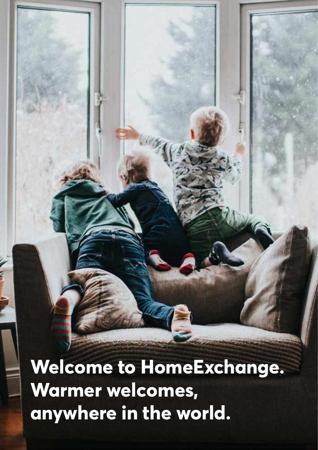**Welcome to HomeExchange. Warmer welcomes, anywhere in the world.**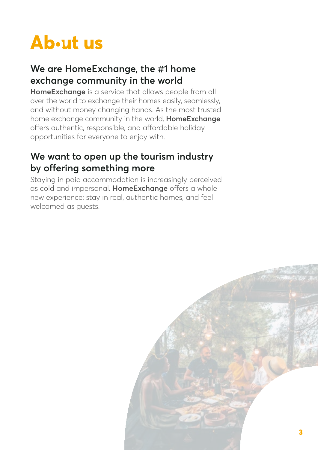# Ab<sub>utus</sub>

### **We are HomeExchange, the #1 home exchange community in the world**

**HomeExchange** is a service that allows people from all over the world to exchange their homes easily, seamlessly, and without money changing hands. As the most trusted home exchange community in the world, **HomeExchange** offers authentic, responsible, and affordable holiday opportunities for everyone to enjoy with.

### **We want to open up the tourism industry by offering something more**

Staying in paid accommodation is increasingly perceived as cold and impersonal. **HomeExchange** offers a whole new experience: stay in real, authentic homes, and feel welcomed as guests.

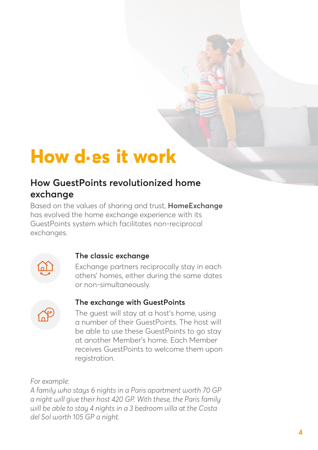### **How it work**

### **How GuestPoints revolutionized home exchange**

Based on the values of sharing and trust, **HomeExchange** has evolved the home exchange experience with its GuestPoints system which facilitates non-reciprocal exchanges.



#### **The classic exchange**

Exchange partners reciprocally stay in each others' homes, either during the same dates or non-simultaneously.



#### **The exchange with GuestPoints**

The guest will stay at a host's home, using a number of their GuestPoints. The host will be able to use these GuestPoints to go stay at another Member's home. Each Member receives GuestPoints to welcome them upon registration.

*For example:*

*A family who stays 6 nights in a Paris apartment worth 70 GP a night will give their host 420 GP. With these, the Paris family will be able to stay 4 nights in a 3 bedroom villa at the Costa del Sol worth 105 GP a night.*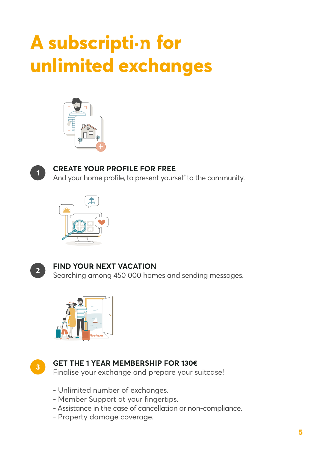# A subscription for **unlimited exchanges**





#### **CREATE YOUR PROFILE FOR FREE**

And your home profile, to present yourself to the community.





#### **FIND YOUR NEXT VACATION**

Searching among 450 000 homes and sending messages.





#### **GET THE 1 YEAR MEMBERSHIP FOR 130€**

Finalise your exchange and prepare your suitcase!

- Unlimited number of exchanges.
- Member Support at your fingertips.
- Assistance in the case of cancellation or non-compliance.
- Property damage coverage.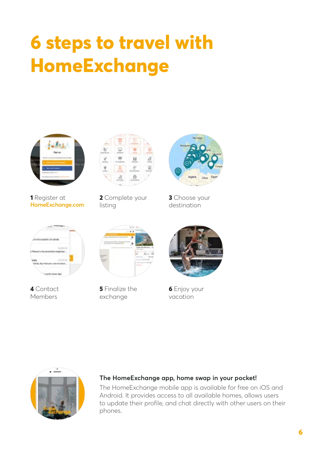### **6 steps to travel with HomeExchange**



**1** Register at **[HomeExchange.com](https://www.homeexchange.com/)**



**2** Complete your listing



**3** Choose your destination



**4** Contact Members



**5** Finalize the exchange



**6** Enjoy your vacation



#### **The HomeExchange app, home swap in your pocket!**

The HomeExchange mobile app is available for free on iOS and Android. It provides access to all available homes, allows users to update their profile, and chat directly with other users on their phones.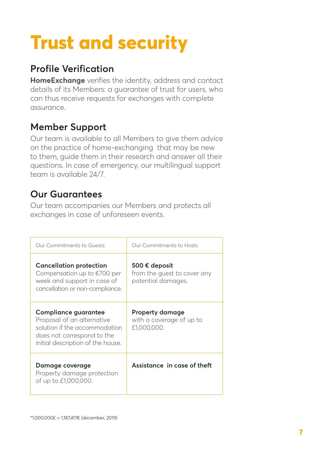# **Trust and security**

### **Profile Verification**

**HomeExchange** verifies the identity, address and contact details of its Members: a guarantee of trust for users, who can thus receive requests for exchanges with complete assurance.

### **Member Support**

Our team is available to all Members to give them advice on the practice of home-exchanging that may be new to them, guide them in their research and answer all their questions. In case of emergency, our multilingual support team is available 24/7.

### **Our Guarantees**

Our team accompanies our Members and protects all exchanges in case of unforeseen events.

| Our Commitments to Guests                                                                                                                                     | Our Commitments to Hosts                                           |
|---------------------------------------------------------------------------------------------------------------------------------------------------------------|--------------------------------------------------------------------|
| <b>Cancellation protection</b><br>Compensation up to $\epsilon$ 700 per<br>week and support in case of<br>cancellation or non-compliance.                     | 500 € deposit<br>from the quest to cover any<br>potential damages. |
| <b>Compliance guarantee</b><br>Proposal of an alternative<br>solution if the accommodation<br>does not correspond to the<br>initial description of the house. | <b>Property damage</b><br>with a coverage of up to<br>£1,000,000.  |
| Damage coverage<br>Property damage protection<br>of up to £1,000,000.                                                                                         | Assistance in case of theft                                        |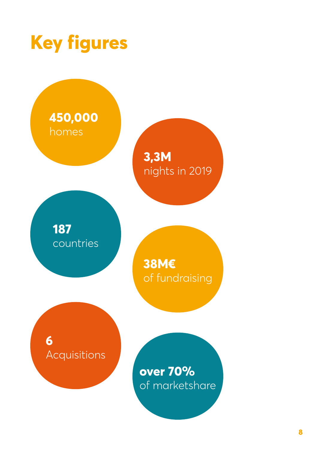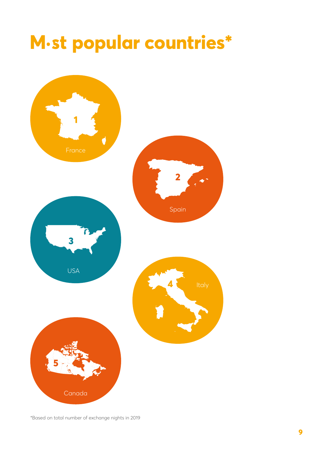### **popular countries\***



\*Based on total number of exchange nights in 2019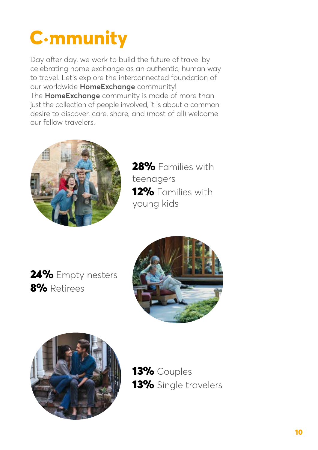# **C.mmunity**

Day after day, we work to build the future of travel by celebrating home exchange as an authentic, human way to travel. Let's explore the interconnected foundation of our worldwide **HomeExchange** community! The **HomeExchange** community is made of more than just the collection of people involved, it is about a common desire to discover, care, share, and (most of all) welcome our fellow travelers.



28% Families with teenagers 12% Families with young kids

24% Empty nesters 8% Retirees





13% Couples 13% Single travelers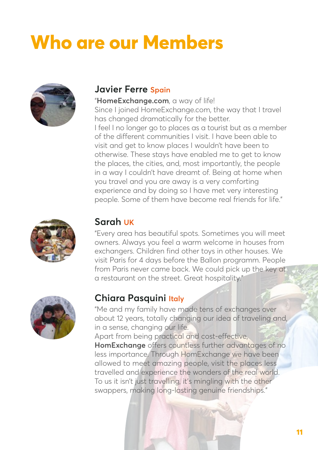# **Who are our Members**



#### **Javier Ferre Spain**

"**HomeExchange.com**, a way of life! Since I joined HomeExchange.com, the way that I travel has changed dramatically for the better. I feel I no longer go to places as a tourist but as a member of the different communities I visit. I have been able to visit and get to know places I wouldn't have been to otherwise. These stays have enabled me to get to know the places, the cities, and, most importantly, the people in a way I couldn't have dreamt of. Being at home when you travel and you are away is a very comforting experience and by doing so I have met very interesting people. Some of them have become real friends for life."



#### **Sarah UK**

"Every area has beautiful spots. Sometimes you will meet owners. Always you feel a warm welcome in houses from exchangers. Children find other toys in other houses. We visit Paris for 4 days before the Ballon programm. People from Paris never came back. We could pick up the key at a restaurant on the street. Great hospitality."



#### **Chiara Pasquini Italy**

"Me and my family have made tens of exchanges over about 12 years, totally changing our idea of traveling and, in a sense, changing our life.

Apart from being practical and cost-effective, **HomExchange** offers countless further advantages of no less importance. Through HomExchange we have been allowed to meet amazing people, visit the places less travelled and experience the wonders of the real world. To us it isn't just travelling, it's mingling with the other swappers, making long-lasting genuine friendships."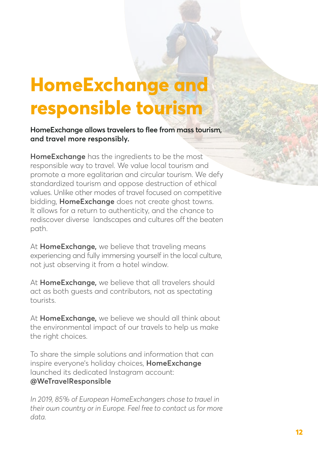### **HomeExchange and responsible tourism**

**HomeExchange allows travelers to flee from mass tourism, and travel more responsibly.**

**HomeExchange** has the ingredients to be the most responsible way to travel. We value local tourism and promote a more egalitarian and circular tourism. We defy standardized tourism and oppose destruction of ethical values. Unlike other modes of travel focused on competitive bidding, **HomeExchange** does not create ghost towns. It allows for a return to authenticity, and the chance to rediscover diverse landscapes and cultures off the beaten path.

At **HomeExchange,** we believe that traveling means experiencing and fully immersing yourself in the local culture, not just observing it from a hotel window.

At **HomeExchange,** we believe that all travelers should act as both guests and contributors, not as spectating tourists.

At **HomeExchange,** we believe we should all think about the environmental impact of our travels to help us make the right choices.

To share the simple solutions and information that can inspire everyone's holiday choices, **HomeExchange** launched its dedicated Instagram account: **@WeTravelResponsible**

*In 2019, 85% of European HomeExchangers chose to travel in their own country or in Europe. Feel free to contact us for more data.*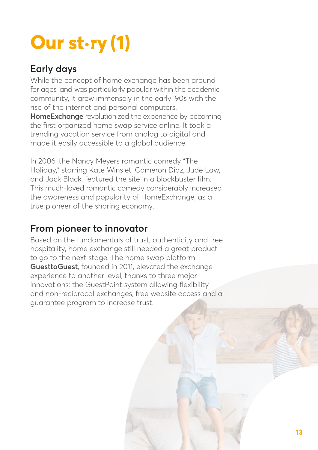# **Our (1)**

### **Early days**

While the concept of home exchange has been around for ages, and was particularly popular within the academic community, it grew immensely in the early '90s with the rise of the internet and personal computers.

**HomeExchange** revolutionized the experience by becoming the first organized home swap service online. It took a trending vacation service from analog to digital and made it easily accessible to a global audience.

In 2006, the Nancy Meyers romantic comedy "The Holiday," starring Kate Winslet, Cameron Diaz, Jude Law, and Jack Black, featured the site in a blockbuster film. This much-loved romantic comedy considerably increased the awareness and popularity of HomeExchange, as a true pioneer of the sharing economy.

### **From pioneer to innovator**

Based on the fundamentals of trust, authenticity and free hospitality, home exchange still needed a great product to go to the next stage. The home swap platform **GuesttoGuest**, founded in 2011, elevated the exchange experience to another level, thanks to three major innovations: the GuestPoint system allowing flexibility and non-reciprocal exchanges, free website access and a guarantee program to increase trust.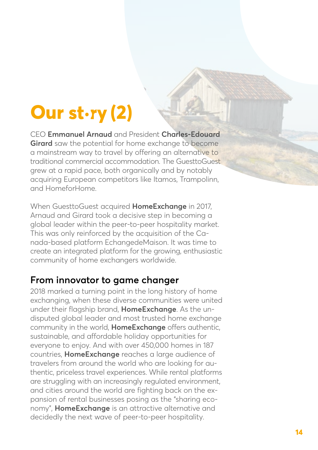# **Our (2)**

CEO **Emmanuel Arnaud** and President **Charles-Edouard Girard** saw the potential for home exchange to become a mainstream way to travel by offering an alternative to traditional commercial accommodation. The GuesttoGuest grew at a rapid pace, both organically and by notably acquiring European competitors like Itamos, Trampolinn, and HomeforHome.

When GuesttoGuest acquired **HomeExchange** in 2017, Arnaud and Girard took a decisive step in becoming a global leader within the peer-to-peer hospitality market. This was only reinforced by the acquisition of the Canada-based platform EchangedeMaison. It was time to create an integrated platform for the growing, enthusiastic community of home exchangers worldwide.

### **From innovator to game changer**

2018 marked a turning point in the long history of home exchanging, when these diverse communities were united under their flagship brand, **HomeExchange**. As the undisputed global leader and most trusted home exchange community in the world, **HomeExchange** offers authentic, sustainable, and affordable holiday opportunities for everyone to enjoy. And with over 450,000 homes in 187 countries, **HomeExchange** reaches a large audience of travelers from around the world who are looking for authentic, priceless travel experiences. While rental platforms are struggling with an increasingly regulated environment, and cities around the world are fighting back on the expansion of rental businesses posing as the "sharing economy", **HomeExchange** is an attractive alternative and decidedly the next wave of peer-to-peer hospitality.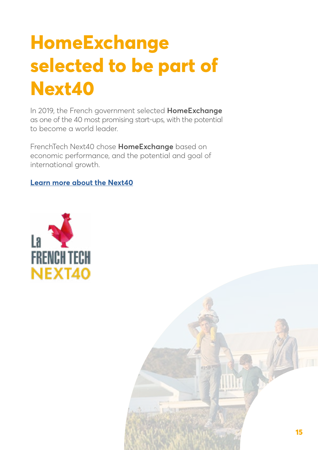# **HomeExchange selected to be part of Next40**

In 2019, the French government selected **HomeExchange** as one of the 40 most promising start-ups, with the potential to become a world leader.

FrenchTech Next40 chose **HomeExchange** based on economic performance, and the potential and goal of international growth.

**[Learn more about the Next40](https://lafrenchtech.com/en/how-france-helps-startups/next40-2/)**



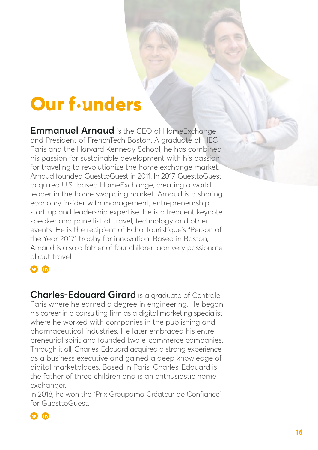### **Our** f-unders

**Emmanuel Arnaud** is the CEO of HomeExchange and President of FrenchTech Boston. A graduate of HEC Paris and the Harvard Kennedy School, he has combined his passion for sustainable development with his passion for traveling to revolutionize the home exchange market. Arnaud founded GuesttoGuest in 2011. In 2017, GuesttoGuest acquired U.S.-based HomeExchange, creating a world leader in the home swapping market. Arnaud is a sharing economy insider with management, entrepreneurship, start-up and leadership expertise. He is a frequent keynote speaker and panellist at travel, technology and other events. He is the recipient of Echo Touristique's "Person of the Year 2017" trophy for innovation. Based in Boston, Arnaud is also a father of four children adn very passionate about travel.

#### $\Omega$  fn

**Charles-Edouard Girard** is a graduate of Centrale Paris where he earned a degree in engineering. He began his career in a consulting firm as a digital marketing specialist where he worked with companies in the publishing and pharmaceutical industries. He later embraced his entrepreneurial spirit and founded two e-commerce companies. Through it all, Charles-Edouard acquired a strong experience as a business executive and gained a deep knowledge of digital marketplaces. Based in Paris, Charles-Edouard is the father of three children and is an enthusiastic home exchanger.

In 2018, he won the "Prix Groupama Créateur de Confiance" for GuesttoGuest.